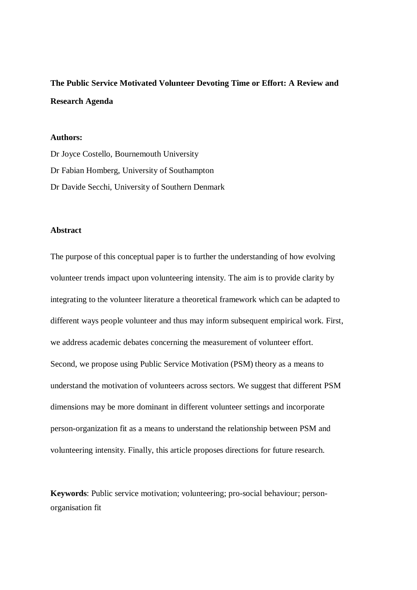**The Public Service Motivated Volunteer Devoting Time or Effort: A Review and Research Agenda**

## **Authors:**

Dr Joyce Costello, Bournemouth University Dr Fabian Homberg, University of Southampton Dr Davide Secchi, University of Southern Denmark

## **Abstract**

The purpose of this conceptual paper is to further the understanding of how evolving volunteer trends impact upon volunteering intensity. The aim is to provide clarity by integrating to the volunteer literature a theoretical framework which can be adapted to different ways people volunteer and thus may inform subsequent empirical work. First, we address academic debates concerning the measurement of volunteer effort. Second, we propose using Public Service Motivation (PSM) theory as a means to understand the motivation of volunteers across sectors. We suggest that different PSM dimensions may be more dominant in different volunteer settings and incorporate person-organization fit as a means to understand the relationship between PSM and volunteering intensity. Finally, this article proposes directions for future research.

**Keywords**: Public service motivation; volunteering; pro-social behaviour; personorganisation fit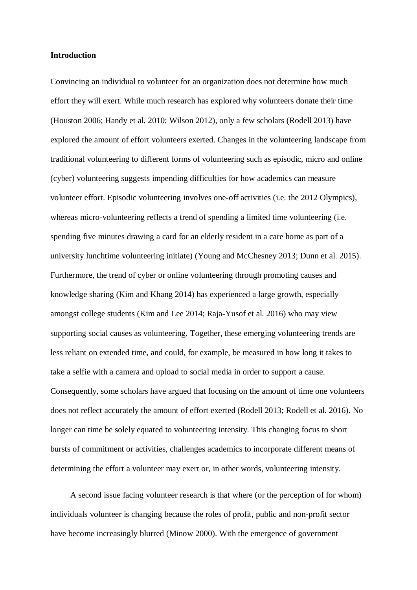#### **Introduction**

Convincing an individual to volunteer for an organization does not determine how much effort they will exert. While much research has explored why volunteers donate their time (Houston 2006; Handy et al. 2010; Wilson 2012), only a few scholars (Rodell 2013) have explored the amount of effort volunteers exerted. Changes in the volunteering landscape from traditional volunteering to different forms of volunteering such as episodic, micro and online (cyber) volunteering suggests impending difficulties for how academics can measure volunteer effort. Episodic volunteering involves one-off activities (i.e. the 2012 Olympics), whereas micro-volunteering reflects a trend of spending a limited time volunteering (i.e. spending five minutes drawing a card for an elderly resident in a care home as part of a university lunchtime volunteering initiate) (Young and McChesney 2013; Dunn et al. 2015). Furthermore, the trend of cyber or online volunteering through promoting causes and knowledge sharing (Kim and Khang 2014) has experienced a large growth, especially amongst college students (Kim and Lee 2014; Raja-Yusof et al. 2016) who may view supporting social causes as volunteering. Together, these emerging volunteering trends are less reliant on extended time, and could, for example, be measured in how long it takes to take a selfie with a camera and upload to social media in order to support a cause. Consequently, some scholars have argued that focusing on the amount of time one volunteers does not reflect accurately the amount of effort exerted (Rodell 2013; Rodell et al. 2016). No longer can time be solely equated to volunteering intensity. This changing focus to short bursts of commitment or activities, challenges academics to incorporate different means of determining the effort a volunteer may exert or, in other words, volunteering intensity.

A second issue facing volunteer research is that where (or the perception of for whom) individuals volunteer is changing because the roles of profit, public and non-profit sector have become increasingly blurred (Minow 2000). With the emergence of government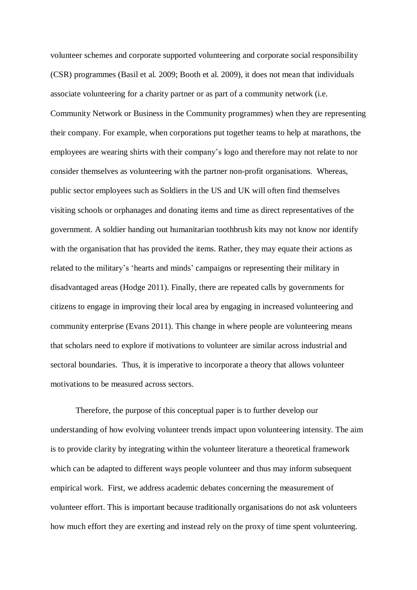volunteer schemes and corporate supported volunteering and corporate social responsibility (CSR) programmes (Basil et al. 2009; Booth et al. 2009), it does not mean that individuals associate volunteering for a charity partner or as part of a community network (i.e. Community Network or Business in the Community programmes) when they are representing their company. For example, when corporations put together teams to help at marathons, the employees are wearing shirts with their company's logo and therefore may not relate to nor consider themselves as volunteering with the partner non-profit organisations. Whereas, public sector employees such as Soldiers in the US and UK will often find themselves visiting schools or orphanages and donating items and time as direct representatives of the government. A soldier handing out humanitarian toothbrush kits may not know nor identify with the organisation that has provided the items. Rather, they may equate their actions as related to the military's 'hearts and minds' campaigns or representing their military in disadvantaged areas (Hodge 2011). Finally, there are repeated calls by governments for citizens to engage in improving their local area by engaging in increased volunteering and community enterprise (Evans 2011). This change in where people are volunteering means that scholars need to explore if motivations to volunteer are similar across industrial and sectoral boundaries. Thus, it is imperative to incorporate a theory that allows volunteer motivations to be measured across sectors.

Therefore, the purpose of this conceptual paper is to further develop our understanding of how evolving volunteer trends impact upon volunteering intensity. The aim is to provide clarity by integrating within the volunteer literature a theoretical framework which can be adapted to different ways people volunteer and thus may inform subsequent empirical work. First, we address academic debates concerning the measurement of volunteer effort. This is important because traditionally organisations do not ask volunteers how much effort they are exerting and instead rely on the proxy of time spent volunteering.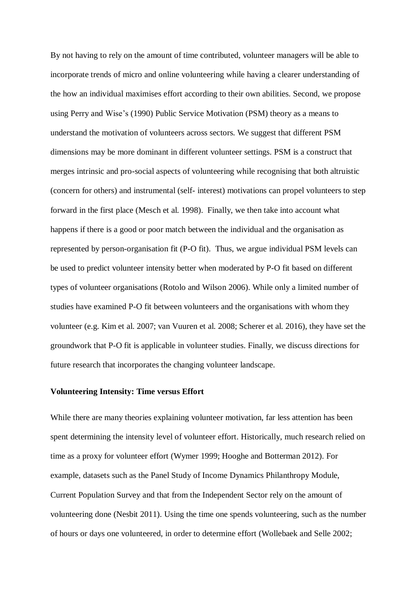By not having to rely on the amount of time contributed, volunteer managers will be able to incorporate trends of micro and online volunteering while having a clearer understanding of the how an individual maximises effort according to their own abilities. Second, we propose using Perry and Wise's (1990) Public Service Motivation (PSM) theory as a means to understand the motivation of volunteers across sectors. We suggest that different PSM dimensions may be more dominant in different volunteer settings. PSM is a construct that merges intrinsic and pro-social aspects of volunteering while recognising that both altruistic (concern for others) and instrumental (self- interest) motivations can propel volunteers to step forward in the first place (Mesch et al. 1998). Finally, we then take into account what happens if there is a good or poor match between the individual and the organisation as represented by person-organisation fit (P-O fit). Thus, we argue individual PSM levels can be used to predict volunteer intensity better when moderated by P-O fit based on different types of volunteer organisations (Rotolo and Wilson 2006). While only a limited number of studies have examined P-O fit between volunteers and the organisations with whom they volunteer (e.g. Kim et al. 2007; van Vuuren et al. 2008; Scherer et al. 2016), they have set the groundwork that P-O fit is applicable in volunteer studies. Finally, we discuss directions for future research that incorporates the changing volunteer landscape.

## **Volunteering Intensity: Time versus Effort**

While there are many theories explaining volunteer motivation, far less attention has been spent determining the intensity level of volunteer effort. Historically, much research relied on time as a proxy for volunteer effort (Wymer 1999; Hooghe and Botterman 2012). For example, datasets such as the Panel Study of Income Dynamics Philanthropy Module, Current Population Survey and that from the Independent Sector rely on the amount of volunteering done (Nesbit 2011). Using the time one spends volunteering, such as the number of hours or days one volunteered, in order to determine effort (Wollebaek and Selle 2002;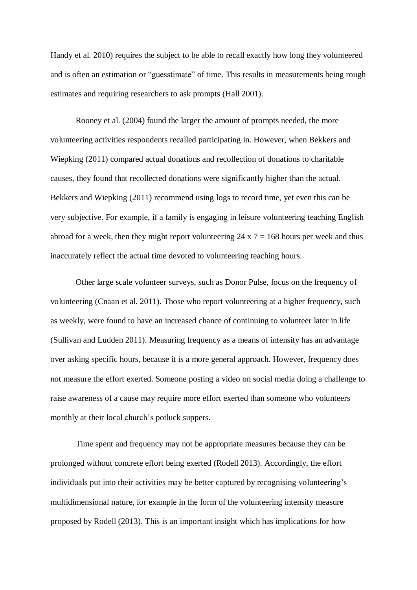Handy et al. 2010) requires the subject to be able to recall exactly how long they volunteered and is often an estimation or "guesstimate" of time. This results in measurements being rough estimates and requiring researchers to ask prompts (Hall 2001).

Rooney et al. (2004) found the larger the amount of prompts needed, the more volunteering activities respondents recalled participating in. However, when Bekkers and Wiepking (2011) compared actual donations and recollection of donations to charitable causes, they found that recollected donations were significantly higher than the actual. Bekkers and Wiepking (2011) recommend using logs to record time, yet even this can be very subjective. For example, if a family is engaging in leisure volunteering teaching English abroad for a week, then they might report volunteering  $24 \times 7 = 168$  hours per week and thus inaccurately reflect the actual time devoted to volunteering teaching hours.

Other large scale volunteer surveys, such as Donor Pulse, focus on the frequency of volunteering (Cnaan et al. 2011). Those who report volunteering at a higher frequency, such as weekly, were found to have an increased chance of continuing to volunteer later in life (Sullivan and Ludden 2011). Measuring frequency as a means of intensity has an advantage over asking specific hours, because it is a more general approach. However, frequency does not measure the effort exerted. Someone posting a video on social media doing a challenge to raise awareness of a cause may require more effort exerted than someone who volunteers monthly at their local church's potluck suppers.

Time spent and frequency may not be appropriate measures because they can be prolonged without concrete effort being exerted (Rodell 2013). Accordingly, the effort individuals put into their activities may be better captured by recognising volunteering's multidimensional nature, for example in the form of the volunteering intensity measure proposed by Rodell (2013). This is an important insight which has implications for how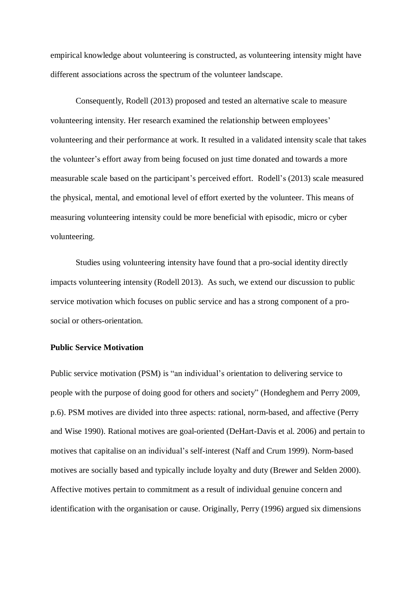empirical knowledge about volunteering is constructed, as volunteering intensity might have different associations across the spectrum of the volunteer landscape.

Consequently, Rodell (2013) proposed and tested an alternative scale to measure volunteering intensity. Her research examined the relationship between employees' volunteering and their performance at work. It resulted in a validated intensity scale that takes the volunteer's effort away from being focused on just time donated and towards a more measurable scale based on the participant's perceived effort. Rodell's (2013) scale measured the physical, mental, and emotional level of effort exerted by the volunteer. This means of measuring volunteering intensity could be more beneficial with episodic, micro or cyber volunteering.

Studies using volunteering intensity have found that a pro-social identity directly impacts volunteering intensity (Rodell 2013). As such, we extend our discussion to public service motivation which focuses on public service and has a strong component of a prosocial or others-orientation.

## **Public Service Motivation**

Public service motivation (PSM) is "an individual's orientation to delivering service to people with the purpose of doing good for others and society" (Hondeghem and Perry 2009, p.6). PSM motives are divided into three aspects: rational, norm-based, and affective (Perry and Wise 1990). Rational motives are goal-oriented (DeHart-Davis et al. 2006) and pertain to motives that capitalise on an individual's self-interest (Naff and Crum 1999). Norm-based motives are socially based and typically include loyalty and duty (Brewer and Selden 2000). Affective motives pertain to commitment as a result of individual genuine concern and identification with the organisation or cause. Originally, Perry (1996) argued six dimensions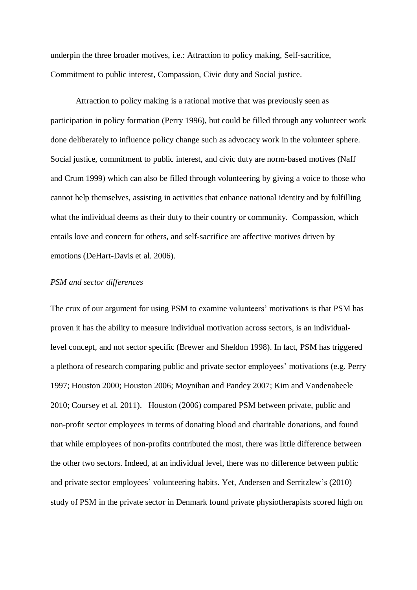underpin the three broader motives, i.e.: Attraction to policy making, Self-sacrifice, Commitment to public interest, Compassion, Civic duty and Social justice.

Attraction to policy making is a rational motive that was previously seen as participation in policy formation (Perry 1996), but could be filled through any volunteer work done deliberately to influence policy change such as advocacy work in the volunteer sphere. Social justice, commitment to public interest, and civic duty are norm-based motives (Naff and Crum 1999) which can also be filled through volunteering by giving a voice to those who cannot help themselves, assisting in activities that enhance national identity and by fulfilling what the individual deems as their duty to their country or community. Compassion, which entails love and concern for others, and self-sacrifice are affective motives driven by emotions (DeHart-Davis et al. 2006).

## *PSM and sector differences*

The crux of our argument for using PSM to examine volunteers' motivations is that PSM has proven it has the ability to measure individual motivation across sectors, is an individuallevel concept, and not sector specific (Brewer and Sheldon 1998). In fact, PSM has triggered a plethora of research comparing public and private sector employees' motivations (e.g. Perry 1997; Houston 2000; Houston 2006; Moynihan and Pandey 2007; Kim and Vandenabeele 2010; Coursey et al. 2011). Houston (2006) compared PSM between private, public and non-profit sector employees in terms of donating blood and charitable donations, and found that while employees of non-profits contributed the most, there was little difference between the other two sectors. Indeed, at an individual level, there was no difference between public and private sector employees' volunteering habits. Yet, Andersen and Serritzlew's (2010) study of PSM in the private sector in Denmark found private physiotherapists scored high on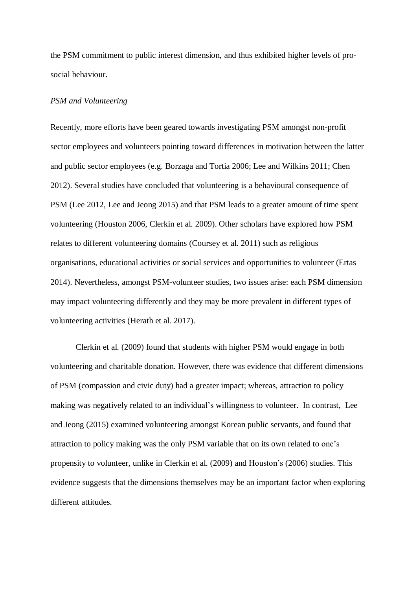the PSM commitment to public interest dimension, and thus exhibited higher levels of prosocial behaviour.

## *PSM and Volunteering*

Recently, more efforts have been geared towards investigating PSM amongst non-profit sector employees and volunteers pointing toward differences in motivation between the latter and public sector employees (e.g. Borzaga and Tortia 2006; Lee and Wilkins 2011; Chen 2012). Several studies have concluded that volunteering is a behavioural consequence of PSM (Lee 2012, Lee and Jeong 2015) and that PSM leads to a greater amount of time spent volunteering (Houston 2006, Clerkin et al. 2009). Other scholars have explored how PSM relates to different volunteering domains (Coursey et al. 2011) such as religious organisations, educational activities or social services and opportunities to volunteer (Ertas 2014). Nevertheless, amongst PSM-volunteer studies, two issues arise: each PSM dimension may impact volunteering differently and they may be more prevalent in different types of volunteering activities (Herath et al. 2017).

Clerkin et al. (2009) found that students with higher PSM would engage in both volunteering and charitable donation. However, there was evidence that different dimensions of PSM (compassion and civic duty) had a greater impact; whereas, attraction to policy making was negatively related to an individual's willingness to volunteer. In contrast, Lee and Jeong (2015) examined volunteering amongst Korean public servants, and found that attraction to policy making was the only PSM variable that on its own related to one's propensity to volunteer, unlike in Clerkin et al. (2009) and Houston's (2006) studies. This evidence suggests that the dimensions themselves may be an important factor when exploring different attitudes.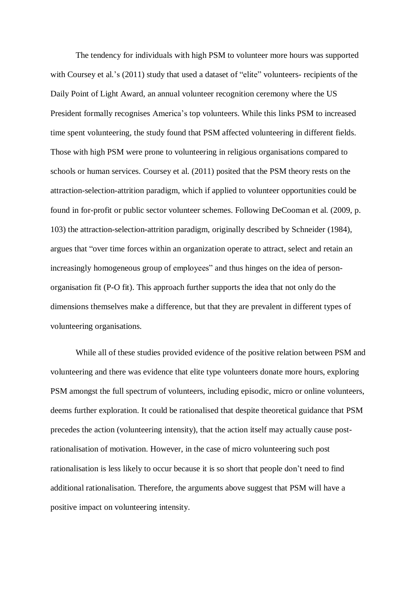The tendency for individuals with high PSM to volunteer more hours was supported with Coursey et al.'s (2011) study that used a dataset of "elite" volunteers- recipients of the Daily Point of Light Award, an annual volunteer recognition ceremony where the US President formally recognises America's top volunteers. While this links PSM to increased time spent volunteering, the study found that PSM affected volunteering in different fields. Those with high PSM were prone to volunteering in religious organisations compared to schools or human services. Coursey et al. (2011) posited that the PSM theory rests on the attraction-selection-attrition paradigm, which if applied to volunteer opportunities could be found in for-profit or public sector volunteer schemes. Following DeCooman et al. (2009, p. 103) the attraction-selection-attrition paradigm, originally described by Schneider (1984), argues that "over time forces within an organization operate to attract, select and retain an increasingly homogeneous group of employees" and thus hinges on the idea of personorganisation fit (P-O fit). This approach further supports the idea that not only do the dimensions themselves make a difference, but that they are prevalent in different types of volunteering organisations.

While all of these studies provided evidence of the positive relation between PSM and volunteering and there was evidence that elite type volunteers donate more hours, exploring PSM amongst the full spectrum of volunteers, including episodic, micro or online volunteers, deems further exploration. It could be rationalised that despite theoretical guidance that PSM precedes the action (volunteering intensity), that the action itself may actually cause postrationalisation of motivation. However, in the case of micro volunteering such post rationalisation is less likely to occur because it is so short that people don't need to find additional rationalisation. Therefore, the arguments above suggest that PSM will have a positive impact on volunteering intensity.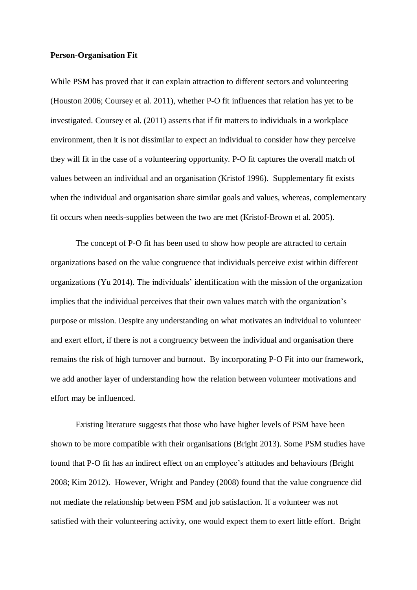#### **Person-Organisation Fit**

While PSM has proved that it can explain attraction to different sectors and volunteering (Houston 2006; Coursey et al. 2011), whether P-O fit influences that relation has yet to be investigated. Coursey et al. (2011) asserts that if fit matters to individuals in a workplace environment, then it is not dissimilar to expect an individual to consider how they perceive they will fit in the case of a volunteering opportunity. P-O fit captures the overall match of values between an individual and an organisation (Kristof 1996). Supplementary fit exists when the individual and organisation share similar goals and values, whereas, complementary fit occurs when needs-supplies between the two are met (Kristof-Brown et al. 2005).

The concept of P-O fit has been used to show how people are attracted to certain organizations based on the value congruence that individuals perceive exist within different organizations (Yu 2014). The individuals' identification with the mission of the organization implies that the individual perceives that their own values match with the organization's purpose or mission. Despite any understanding on what motivates an individual to volunteer and exert effort, if there is not a congruency between the individual and organisation there remains the risk of high turnover and burnout. By incorporating P-O Fit into our framework, we add another layer of understanding how the relation between volunteer motivations and effort may be influenced.

Existing literature suggests that those who have higher levels of PSM have been shown to be more compatible with their organisations (Bright 2013). Some PSM studies have found that P-O fit has an indirect effect on an employee's attitudes and behaviours (Bright 2008; Kim 2012). However, Wright and Pandey (2008) found that the value congruence did not mediate the relationship between PSM and job satisfaction. If a volunteer was not satisfied with their volunteering activity, one would expect them to exert little effort. Bright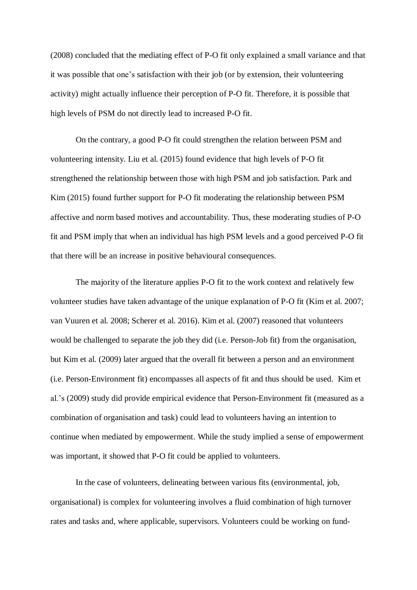(2008) concluded that the mediating effect of P-O fit only explained a small variance and that it was possible that one's satisfaction with their job (or by extension, their volunteering activity) might actually influence their perception of P-O fit. Therefore, it is possible that high levels of PSM do not directly lead to increased P-O fit.

On the contrary, a good P-O fit could strengthen the relation between PSM and volunteering intensity. Liu et al. (2015) found evidence that high levels of P-O fit strengthened the relationship between those with high PSM and job satisfaction. Park and Kim (2015) found further support for P-O fit moderating the relationship between PSM affective and norm based motives and accountability. Thus, these moderating studies of P-O fit and PSM imply that when an individual has high PSM levels and a good perceived P-O fit that there will be an increase in positive behavioural consequences.

The majority of the literature applies P-O fit to the work context and relatively few volunteer studies have taken advantage of the unique explanation of P-O fit (Kim et al. 2007; van Vuuren et al. 2008; Scherer et al. 2016). Kim et al. (2007) reasoned that volunteers would be challenged to separate the job they did (i.e. Person-Job fit) from the organisation, but Kim et al. (2009) later argued that the overall fit between a person and an environment (i.e. Person-Environment fit) encompasses all aspects of fit and thus should be used. Kim et al.'s (2009) study did provide empirical evidence that Person-Environment fit (measured as a combination of organisation and task) could lead to volunteers having an intention to continue when mediated by empowerment. While the study implied a sense of empowerment was important, it showed that P-O fit could be applied to volunteers.

In the case of volunteers, delineating between various fits (environmental, job, organisational) is complex for volunteering involves a fluid combination of high turnover rates and tasks and, where applicable, supervisors. Volunteers could be working on fund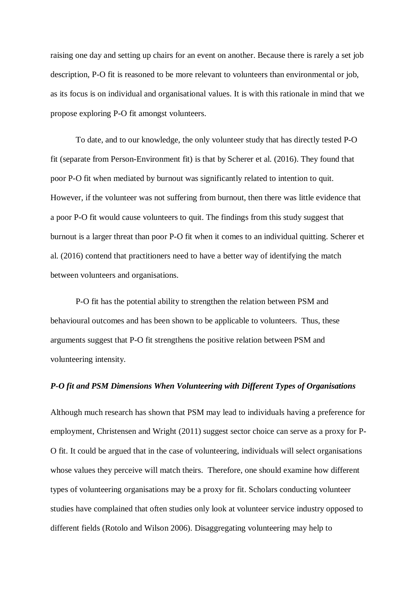raising one day and setting up chairs for an event on another. Because there is rarely a set job description, P-O fit is reasoned to be more relevant to volunteers than environmental or job, as its focus is on individual and organisational values. It is with this rationale in mind that we propose exploring P-O fit amongst volunteers.

To date, and to our knowledge, the only volunteer study that has directly tested P-O fit (separate from Person-Environment fit) is that by Scherer et al. (2016). They found that poor P-O fit when mediated by burnout was significantly related to intention to quit. However, if the volunteer was not suffering from burnout, then there was little evidence that a poor P-O fit would cause volunteers to quit. The findings from this study suggest that burnout is a larger threat than poor P-O fit when it comes to an individual quitting. Scherer et al. (2016) contend that practitioners need to have a better way of identifying the match between volunteers and organisations.

P-O fit has the potential ability to strengthen the relation between PSM and behavioural outcomes and has been shown to be applicable to volunteers. Thus, these arguments suggest that P-O fit strengthens the positive relation between PSM and volunteering intensity.

## *P-O fit and PSM Dimensions When Volunteering with Different Types of Organisations*

Although much research has shown that PSM may lead to individuals having a preference for employment, Christensen and Wright (2011) suggest sector choice can serve as a proxy for P-O fit. It could be argued that in the case of volunteering, individuals will select organisations whose values they perceive will match theirs. Therefore, one should examine how different types of volunteering organisations may be a proxy for fit. Scholars conducting volunteer studies have complained that often studies only look at volunteer service industry opposed to different fields (Rotolo and Wilson 2006). Disaggregating volunteering may help to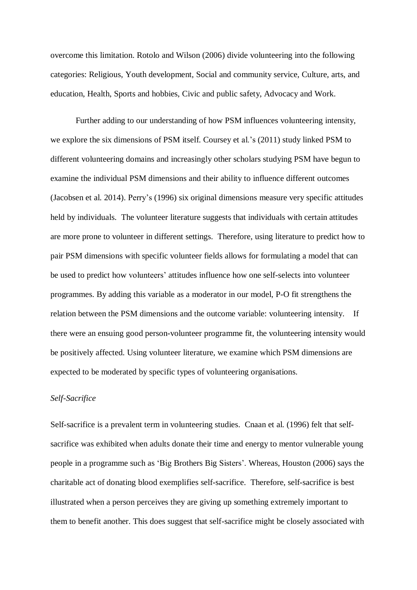overcome this limitation. Rotolo and Wilson (2006) divide volunteering into the following categories: Religious, Youth development, Social and community service, Culture, arts, and education, Health, Sports and hobbies, Civic and public safety, Advocacy and Work.

Further adding to our understanding of how PSM influences volunteering intensity, we explore the six dimensions of PSM itself. Coursey et al.'s (2011) study linked PSM to different volunteering domains and increasingly other scholars studying PSM have begun to examine the individual PSM dimensions and their ability to influence different outcomes (Jacobsen et al. 2014). Perry's (1996) six original dimensions measure very specific attitudes held by individuals. The volunteer literature suggests that individuals with certain attitudes are more prone to volunteer in different settings. Therefore, using literature to predict how to pair PSM dimensions with specific volunteer fields allows for formulating a model that can be used to predict how volunteers' attitudes influence how one self-selects into volunteer programmes. By adding this variable as a moderator in our model, P-O fit strengthens the relation between the PSM dimensions and the outcome variable: volunteering intensity. If there were an ensuing good person-volunteer programme fit, the volunteering intensity would be positively affected. Using volunteer literature, we examine which PSM dimensions are expected to be moderated by specific types of volunteering organisations.

# *Self-Sacrifice*

Self-sacrifice is a prevalent term in volunteering studies. Cnaan et al. (1996) felt that selfsacrifice was exhibited when adults donate their time and energy to mentor vulnerable young people in a programme such as 'Big Brothers Big Sisters'. Whereas, Houston (2006) says the charitable act of donating blood exemplifies self-sacrifice. Therefore, self-sacrifice is best illustrated when a person perceives they are giving up something extremely important to them to benefit another. This does suggest that self-sacrifice might be closely associated with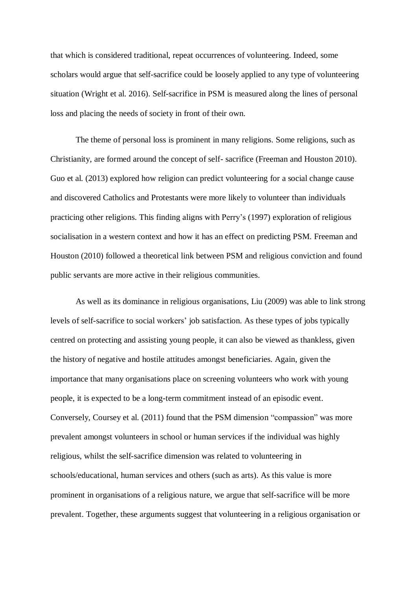that which is considered traditional, repeat occurrences of volunteering. Indeed, some scholars would argue that self-sacrifice could be loosely applied to any type of volunteering situation (Wright et al. 2016). Self-sacrifice in PSM is measured along the lines of personal loss and placing the needs of society in front of their own.

The theme of personal loss is prominent in many religions. Some religions, such as Christianity, are formed around the concept of self- sacrifice (Freeman and Houston 2010). Guo et al. (2013) explored how religion can predict volunteering for a social change cause and discovered Catholics and Protestants were more likely to volunteer than individuals practicing other religions. This finding aligns with Perry's (1997) exploration of religious socialisation in a western context and how it has an effect on predicting PSM. Freeman and Houston (2010) followed a theoretical link between PSM and religious conviction and found public servants are more active in their religious communities.

As well as its dominance in religious organisations, Liu (2009) was able to link strong levels of self-sacrifice to social workers' job satisfaction. As these types of jobs typically centred on protecting and assisting young people, it can also be viewed as thankless, given the history of negative and hostile attitudes amongst beneficiaries. Again, given the importance that many organisations place on screening volunteers who work with young people, it is expected to be a long-term commitment instead of an episodic event. Conversely, Coursey et al. (2011) found that the PSM dimension "compassion" was more prevalent amongst volunteers in school or human services if the individual was highly religious, whilst the self-sacrifice dimension was related to volunteering in schools/educational, human services and others (such as arts). As this value is more prominent in organisations of a religious nature, we argue that self-sacrifice will be more prevalent. Together, these arguments suggest that volunteering in a religious organisation or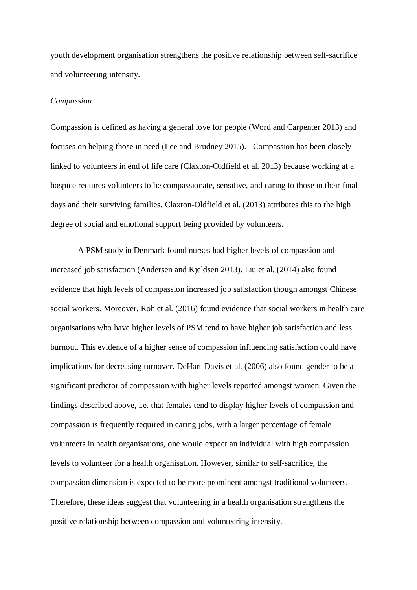youth development organisation strengthens the positive relationship between self-sacrifice and volunteering intensity.

#### *Compassion*

Compassion is defined as having a general love for people (Word and Carpenter 2013) and focuses on helping those in need (Lee and Brudney 2015). Compassion has been closely linked to volunteers in end of life care (Claxton-Oldfield et al. 2013) because working at a hospice requires volunteers to be compassionate, sensitive, and caring to those in their final days and their surviving families. Claxton-Oldfield et al. (2013) attributes this to the high degree of social and emotional support being provided by volunteers.

A PSM study in Denmark found nurses had higher levels of compassion and increased job satisfaction (Andersen and Kjeldsen 2013). Liu et al. (2014) also found evidence that high levels of compassion increased job satisfaction though amongst Chinese social workers. Moreover, Roh et al. (2016) found evidence that social workers in health care organisations who have higher levels of PSM tend to have higher job satisfaction and less burnout. This evidence of a higher sense of compassion influencing satisfaction could have implications for decreasing turnover. DeHart-Davis et al. (2006) also found gender to be a significant predictor of compassion with higher levels reported amongst women. Given the findings described above, i.e. that females tend to display higher levels of compassion and compassion is frequently required in caring jobs, with a larger percentage of female volunteers in health organisations, one would expect an individual with high compassion levels to volunteer for a health organisation. However, similar to self-sacrifice, the compassion dimension is expected to be more prominent amongst traditional volunteers. Therefore, these ideas suggest that volunteering in a health organisation strengthens the positive relationship between compassion and volunteering intensity.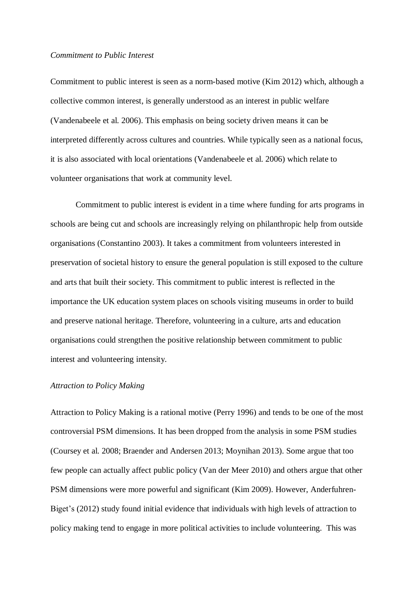#### *Commitment to Public Interest*

Commitment to public interest is seen as a norm-based motive (Kim 2012) which, although a collective common interest, is generally understood as an interest in public welfare (Vandenabeele et al. 2006). This emphasis on being society driven means it can be interpreted differently across cultures and countries. While typically seen as a national focus, it is also associated with local orientations (Vandenabeele et al. 2006) which relate to volunteer organisations that work at community level.

Commitment to public interest is evident in a time where funding for arts programs in schools are being cut and schools are increasingly relying on philanthropic help from outside organisations (Constantino 2003). It takes a commitment from volunteers interested in preservation of societal history to ensure the general population is still exposed to the culture and arts that built their society. This commitment to public interest is reflected in the importance the UK education system places on schools visiting museums in order to build and preserve national heritage. Therefore, volunteering in a culture, arts and education organisations could strengthen the positive relationship between commitment to public interest and volunteering intensity.

## *Attraction to Policy Making*

Attraction to Policy Making is a rational motive (Perry 1996) and tends to be one of the most controversial PSM dimensions. It has been dropped from the analysis in some PSM studies (Coursey et al. 2008; Braender and Andersen 2013; Moynihan 2013). Some argue that too few people can actually affect public policy (Van der Meer 2010) and others argue that other PSM dimensions were more powerful and significant (Kim 2009). However, Anderfuhren-Biget's (2012) study found initial evidence that individuals with high levels of attraction to policy making tend to engage in more political activities to include volunteering. This was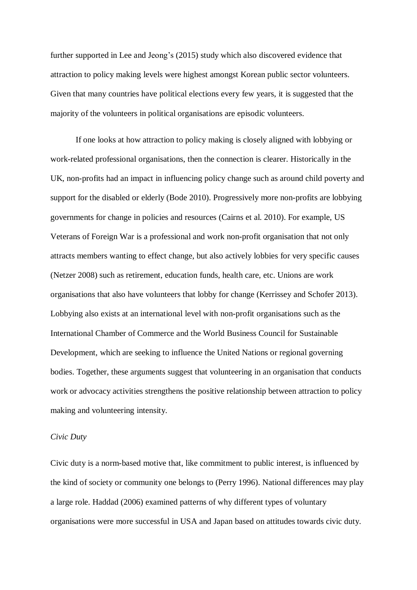further supported in Lee and Jeong's (2015) study which also discovered evidence that attraction to policy making levels were highest amongst Korean public sector volunteers. Given that many countries have political elections every few years, it is suggested that the majority of the volunteers in political organisations are episodic volunteers.

If one looks at how attraction to policy making is closely aligned with lobbying or work-related professional organisations, then the connection is clearer. Historically in the UK, non-profits had an impact in influencing policy change such as around child poverty and support for the disabled or elderly (Bode 2010). Progressively more non-profits are lobbying governments for change in policies and resources (Cairns et al. 2010). For example, US Veterans of Foreign War is a professional and work non-profit organisation that not only attracts members wanting to effect change, but also actively lobbies for very specific causes (Netzer 2008) such as retirement, education funds, health care, etc. Unions are work organisations that also have volunteers that lobby for change (Kerrissey and Schofer 2013). Lobbying also exists at an international level with non-profit organisations such as the International Chamber of Commerce and the World Business Council for Sustainable Development, which are seeking to influence the United Nations or regional governing bodies. Together, these arguments suggest that volunteering in an organisation that conducts work or advocacy activities strengthens the positive relationship between attraction to policy making and volunteering intensity.

#### *Civic Duty*

Civic duty is a norm-based motive that, like commitment to public interest, is influenced by the kind of society or community one belongs to (Perry 1996). National differences may play a large role. Haddad (2006) examined patterns of why different types of voluntary organisations were more successful in USA and Japan based on attitudes towards civic duty.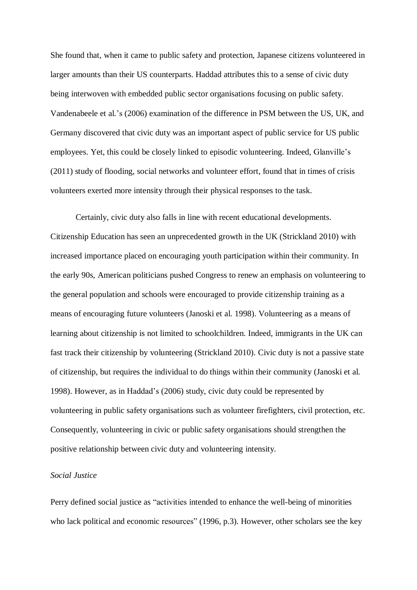She found that, when it came to public safety and protection, Japanese citizens volunteered in larger amounts than their US counterparts. Haddad attributes this to a sense of civic duty being interwoven with embedded public sector organisations focusing on public safety. Vandenabeele et al.'s (2006) examination of the difference in PSM between the US, UK, and Germany discovered that civic duty was an important aspect of public service for US public employees. Yet, this could be closely linked to episodic volunteering. Indeed, Glanville's (2011) study of flooding, social networks and volunteer effort, found that in times of crisis volunteers exerted more intensity through their physical responses to the task.

Certainly, civic duty also falls in line with recent educational developments. Citizenship Education has seen an unprecedented growth in the UK (Strickland 2010) with increased importance placed on encouraging youth participation within their community. In the early 90s, American politicians pushed Congress to renew an emphasis on volunteering to the general population and schools were encouraged to provide citizenship training as a means of encouraging future volunteers (Janoski et al. 1998). Volunteering as a means of learning about citizenship is not limited to schoolchildren. Indeed, immigrants in the UK can fast track their citizenship by volunteering (Strickland 2010). Civic duty is not a passive state of citizenship, but requires the individual to do things within their community (Janoski et al. 1998). However, as in Haddad's (2006) study, civic duty could be represented by volunteering in public safety organisations such as volunteer firefighters, civil protection, etc. Consequently, volunteering in civic or public safety organisations should strengthen the positive relationship between civic duty and volunteering intensity.

# *Social Justice*

Perry defined social justice as "activities intended to enhance the well-being of minorities who lack political and economic resources" (1996, p.3). However, other scholars see the key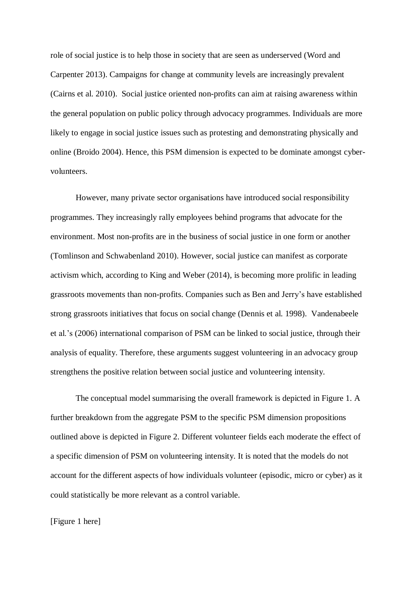role of social justice is to help those in society that are seen as underserved (Word and Carpenter 2013). Campaigns for change at community levels are increasingly prevalent (Cairns et al. 2010). Social justice oriented non-profits can aim at raising awareness within the general population on public policy through advocacy programmes. Individuals are more likely to engage in social justice issues such as protesting and demonstrating physically and online (Broido 2004). Hence, this PSM dimension is expected to be dominate amongst cybervolunteers.

However, many private sector organisations have introduced social responsibility programmes. They increasingly rally employees behind programs that advocate for the environment. Most non-profits are in the business of social justice in one form or another (Tomlinson and Schwabenland 2010). However, social justice can manifest as corporate activism which, according to King and Weber (2014), is becoming more prolific in leading grassroots movements than non-profits. Companies such as Ben and Jerry's have established strong grassroots initiatives that focus on social change (Dennis et al. 1998). Vandenabeele et al.'s (2006) international comparison of PSM can be linked to social justice, through their analysis of equality. Therefore, these arguments suggest volunteering in an advocacy group strengthens the positive relation between social justice and volunteering intensity.

The conceptual model summarising the overall framework is depicted in Figure 1. A further breakdown from the aggregate PSM to the specific PSM dimension propositions outlined above is depicted in Figure 2. Different volunteer fields each moderate the effect of a specific dimension of PSM on volunteering intensity. It is noted that the models do not account for the different aspects of how individuals volunteer (episodic, micro or cyber) as it could statistically be more relevant as a control variable.

# [Figure 1 here]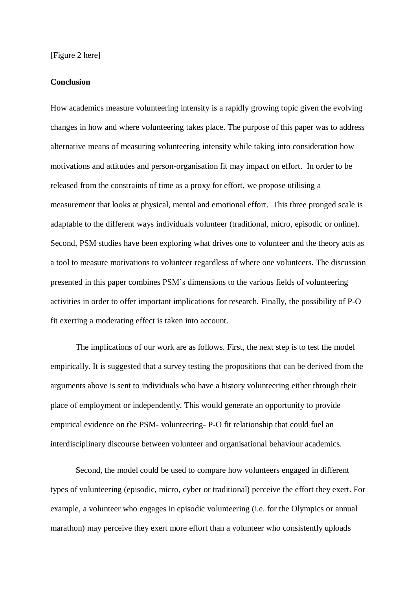# **Conclusion**

How academics measure volunteering intensity is a rapidly growing topic given the evolving changes in how and where volunteering takes place. The purpose of this paper was to address alternative means of measuring volunteering intensity while taking into consideration how motivations and attitudes and person-organisation fit may impact on effort. In order to be released from the constraints of time as a proxy for effort, we propose utilising a measurement that looks at physical, mental and emotional effort. This three pronged scale is adaptable to the different ways individuals volunteer (traditional, micro, episodic or online). Second, PSM studies have been exploring what drives one to volunteer and the theory acts as a tool to measure motivations to volunteer regardless of where one volunteers. The discussion presented in this paper combines PSM's dimensions to the various fields of volunteering activities in order to offer important implications for research. Finally, the possibility of P-O fit exerting a moderating effect is taken into account.

The implications of our work are as follows. First, the next step is to test the model empirically. It is suggested that a survey testing the propositions that can be derived from the arguments above is sent to individuals who have a history volunteering either through their place of employment or independently. This would generate an opportunity to provide empirical evidence on the PSM- volunteering- P-O fit relationship that could fuel an interdisciplinary discourse between volunteer and organisational behaviour academics.

Second, the model could be used to compare how volunteers engaged in different types of volunteering (episodic, micro, cyber or traditional) perceive the effort they exert. For example, a volunteer who engages in episodic volunteering (i.e. for the Olympics or annual marathon) may perceive they exert more effort than a volunteer who consistently uploads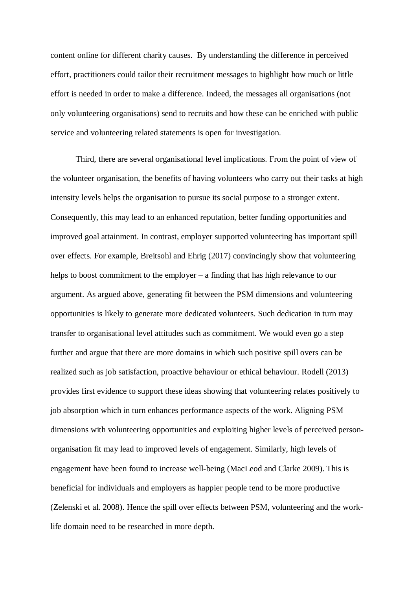content online for different charity causes. By understanding the difference in perceived effort, practitioners could tailor their recruitment messages to highlight how much or little effort is needed in order to make a difference. Indeed, the messages all organisations (not only volunteering organisations) send to recruits and how these can be enriched with public service and volunteering related statements is open for investigation.

Third, there are several organisational level implications. From the point of view of the volunteer organisation, the benefits of having volunteers who carry out their tasks at high intensity levels helps the organisation to pursue its social purpose to a stronger extent. Consequently, this may lead to an enhanced reputation, better funding opportunities and improved goal attainment. In contrast, employer supported volunteering has important spill over effects. For example, Breitsohl and Ehrig (2017) convincingly show that volunteering helps to boost commitment to the employer – a finding that has high relevance to our argument. As argued above, generating fit between the PSM dimensions and volunteering opportunities is likely to generate more dedicated volunteers. Such dedication in turn may transfer to organisational level attitudes such as commitment. We would even go a step further and argue that there are more domains in which such positive spill overs can be realized such as job satisfaction, proactive behaviour or ethical behaviour. Rodell (2013) provides first evidence to support these ideas showing that volunteering relates positively to job absorption which in turn enhances performance aspects of the work. Aligning PSM dimensions with volunteering opportunities and exploiting higher levels of perceived personorganisation fit may lead to improved levels of engagement. Similarly, high levels of engagement have been found to increase well-being (MacLeod and Clarke 2009). This is beneficial for individuals and employers as happier people tend to be more productive (Zelenski et al. 2008). Hence the spill over effects between PSM, volunteering and the worklife domain need to be researched in more depth.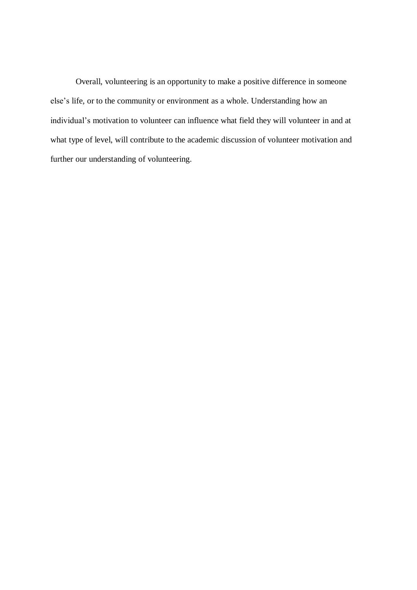Overall, volunteering is an opportunity to make a positive difference in someone else's life, or to the community or environment as a whole. Understanding how an individual's motivation to volunteer can influence what field they will volunteer in and at what type of level, will contribute to the academic discussion of volunteer motivation and further our understanding of volunteering.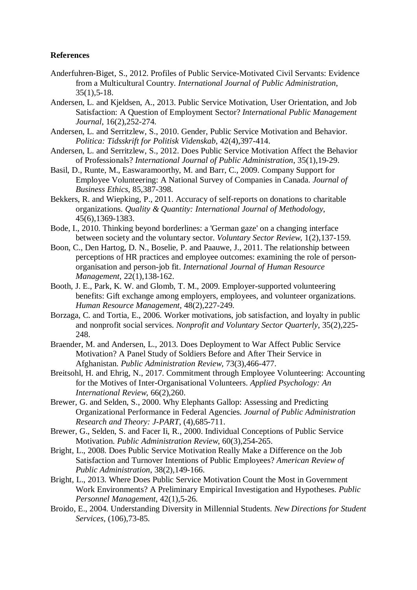# **References**

- Anderfuhren-Biget, S., 2012. Profiles of Public Service-Motivated Civil Servants: Evidence from a Multicultural Country. *International Journal of Public Administration*, 35(1),5-18.
- Andersen, L. and Kjeldsen, A., 2013. Public Service Motivation, User Orientation, and Job Satisfaction: A Question of Employment Sector? *International Public Management Journal*, 16(2),252-274.
- Andersen, L. and Serritzlew, S., 2010. Gender, Public Service Motivation and Behavior. *Politica: Tidsskrift for Politisk Videnskab*, 42(4),397-414.
- Andersen, L. and Serritzlew, S., 2012. Does Public Service Motivation Affect the Behavior of Professionals? *International Journal of Public Administration*, 35(1),19-29.
- Basil, D., Runte, M., Easwaramoorthy, M. and Barr, C., 2009. Company Support for Employee Volunteering: A National Survey of Companies in Canada. *Journal of Business Ethics*, 85,387-398.
- Bekkers, R. and Wiepking, P., 2011. Accuracy of self-reports on donations to charitable organizations. *Quality & Quantity: International Journal of Methodology*, 45(6),1369-1383.
- Bode, I., 2010. Thinking beyond borderlines: a 'German gaze' on a changing interface between society and the voluntary sector. *Voluntary Sector Review*, 1(2),137-159.
- Boon, C., Den Hartog, D. N., Boselie, P. and Paauwe, J., 2011. The relationship between perceptions of HR practices and employee outcomes: examining the role of personorganisation and person-job fit. *International Journal of Human Resource Management*, 22(1),138-162.
- Booth, J. E., Park, K. W. and Glomb, T. M., 2009. Employer-supported volunteering benefits: Gift exchange among employers, employees, and volunteer organizations. *Human Resource Management*, 48(2),227-249.
- Borzaga, C. and Tortia, E., 2006. Worker motivations, job satisfaction, and loyalty in public and nonprofit social services. *Nonprofit and Voluntary Sector Quarterly*, 35(2),225- 248.
- Braender, M. and Andersen, L., 2013. Does Deployment to War Affect Public Service Motivation? A Panel Study of Soldiers Before and After Their Service in Afghanistan. *Public Administration Review*, 73(3),466-477.
- Breitsohl, H. and Ehrig, N., 2017. Commitment through Employee Volunteering: Accounting for the Motives of Inter-Organisational Volunteers. *Applied Psychology: An International Review*, 66(2),260.
- Brewer, G. and Selden, S., 2000. Why Elephants Gallop: Assessing and Predicting Organizational Performance in Federal Agencies. *Journal of Public Administration Research and Theory: J-PART*, (4),685-711.
- Brewer, G., Selden, S. and Facer Ii, R., 2000. Individual Conceptions of Public Service Motivation. *Public Administration Review*, 60(3),254-265.
- Bright, L., 2008. Does Public Service Motivation Really Make a Difference on the Job Satisfaction and Turnover Intentions of Public Employees? *American Review of Public Administration*, 38(2),149-166.
- Bright, L., 2013. Where Does Public Service Motivation Count the Most in Government Work Environments? A Preliminary Empirical Investigation and Hypotheses. *Public Personnel Management*, 42(1),5-26.
- Broido, E., 2004. Understanding Diversity in Millennial Students. *New Directions for Student Services*, (106),73-85.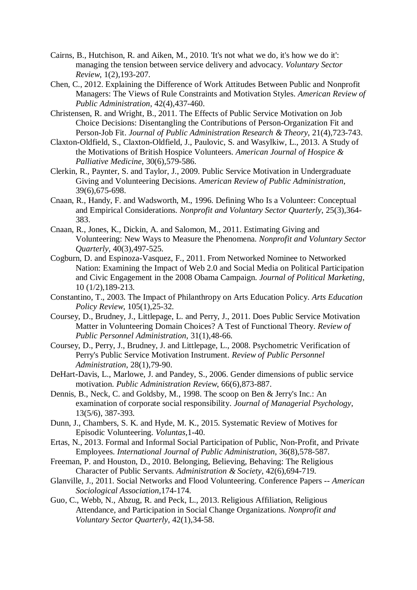- Cairns, B., Hutchison, R. and Aiken, M., 2010. 'It's not what we do, it's how we do it': managing the tension between service delivery and advocacy. *Voluntary Sector Review*, 1(2),193-207.
- Chen, C., 2012. Explaining the Difference of Work Attitudes Between Public and Nonprofit Managers: The Views of Rule Constraints and Motivation Styles. *American Review of Public Administration*, 42(4),437-460.
- Christensen, R. and Wright, B., 2011. The Effects of Public Service Motivation on Job Choice Decisions: Disentangling the Contributions of Person-Organization Fit and Person-Job Fit. *Journal of Public Administration Research & Theory*, 21(4),723-743.
- Claxton-Oldfield, S., Claxton-Oldfield, J., Paulovic, S. and Wasylkiw, L., 2013. A Study of the Motivations of British Hospice Volunteers. *American Journal of Hospice & Palliative Medicine*, 30(6),579-586.
- Clerkin, R., Paynter, S. and Taylor, J., 2009. Public Service Motivation in Undergraduate Giving and Volunteering Decisions. *American Review of Public Administration*, 39(6),675-698.
- Cnaan, R., Handy, F. and Wadsworth, M., 1996. Defining Who Is a Volunteer: Conceptual and Empirical Considerations. *Nonprofit and Voluntary Sector Quarterly*, 25(3),364- 383.
- Cnaan, R., Jones, K., Dickin, A. and Salomon, M., 2011. Estimating Giving and Volunteering: New Ways to Measure the Phenomena. *Nonprofit and Voluntary Sector Quarterly*, 40(3),497-525.
- Cogburn, D. and Espinoza-Vasquez, F., 2011. From Networked Nominee to Networked Nation: Examining the Impact of Web 2.0 and Social Media on Political Participation and Civic Engagement in the 2008 Obama Campaign. *Journal of Political Marketing*, 10 (1/2),189-213.
- Constantino, T., 2003. The Impact of Philanthropy on Arts Education Policy. *Arts Education Policy Review*, 105(1),25-32.
- Coursey, D., Brudney, J., Littlepage, L. and Perry, J., 2011. Does Public Service Motivation Matter in Volunteering Domain Choices? A Test of Functional Theory. *Review of Public Personnel Administration*, 31(1),48-66.
- Coursey, D., Perry, J., Brudney, J. and Littlepage, L., 2008. Psychometric Verification of Perry's Public Service Motivation Instrument. *Review of Public Personnel Administration*, 28(1),79-90.
- DeHart-Davis, L., Marlowe, J. and Pandey, S., 2006. Gender dimensions of public service motivation. *Public Administration Review*, 66(6),873-887.
- Dennis, B., Neck, C. and Goldsby, M., 1998. The scoop on Ben & Jerry's Inc.: An examination of corporate social responsibility. *Journal of Managerial Psychology*, 13(5/6), 387-393.
- Dunn, J., Chambers, S. K. and Hyde, M. K., 2015. Systematic Review of Motives for Episodic Volunteering. *Voluntas*,1-40.
- Ertas, N., 2013. Formal and Informal Social Participation of Public, Non-Profit, and Private Employees. *International Journal of Public Administration*, 36(8),578-587.
- Freeman, P. and Houston, D., 2010. Belonging, Believing, Behaving: The Religious Character of Public Servants. *Administration & Society*, 42(6),694-719.
- Glanville, J., 2011. Social Networks and Flood Volunteering. Conference Papers -- *American Sociological Association*,174-174.
- Guo, C., Webb, N., Abzug, R. and Peck, L., 2013. Religious Affiliation, Religious Attendance, and Participation in Social Change Organizations. *Nonprofit and Voluntary Sector Quarterly*, 42(1),34-58.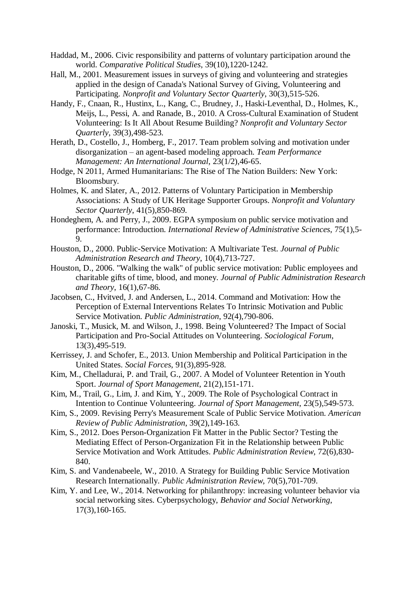- Haddad, M., 2006. Civic responsibility and patterns of voluntary participation around the world. *Comparative Political Studies*, 39(10),1220-1242.
- Hall, M., 2001. Measurement issues in surveys of giving and volunteering and strategies applied in the design of Canada's National Survey of Giving, Volunteering and Participating. *Nonprofit and Voluntary Sector Quarterly*, 30(3),515-526.
- Handy, F., Cnaan, R., Hustinx, L., Kang, C., Brudney, J., Haski-Leventhal, D., Holmes, K., Meijs, L., Pessi, A. and Ranade, B., 2010. A Cross-Cultural Examination of Student Volunteering: Is It All About Resume Building? *Nonprofit and Voluntary Sector Quarterly*, 39(3),498-523.
- Herath, D., Costello, J., Homberg, F., 2017. Team problem solving and motivation under disorganization – an agent-based modeling approach. *Team Performance Management: An International Journal*, 23(1/2),46-65.
- Hodge, N 2011, Armed Humanitarians: The Rise of The Nation Builders: New York: Bloomsbury.
- Holmes, K. and Slater, A., 2012. Patterns of Voluntary Participation in Membership Associations: A Study of UK Heritage Supporter Groups. *Nonprofit and Voluntary Sector Quarterly*, 41(5),850-869.
- Hondeghem, A. and Perry, J., 2009. EGPA symposium on public service motivation and performance: Introduction. *International Review of Administrative Sciences*, 75(1),5- 9.
- Houston, D., 2000. Public-Service Motivation: A Multivariate Test. *Journal of Public Administration Research and Theory*, 10(4),713-727.
- Houston, D., 2006. "Walking the walk" of public service motivation: Public employees and charitable gifts of time, blood, and money. *Journal of Public Administration Research and Theory*, 16(1),67-86.
- Jacobsen, C., Hvitved, J. and Andersen, L., 2014. Command and Motivation: How the Perception of External Interventions Relates To Intrinsic Motivation and Public Service Motivation. *Public Administration*, 92(4),790-806.
- Janoski, T., Musick, M. and Wilson, J., 1998. Being Volunteered? The Impact of Social Participation and Pro-Social Attitudes on Volunteering. *Sociological Forum*, 13(3),495-519.
- Kerrissey, J. and Schofer, E., 2013. Union Membership and Political Participation in the United States. *Social Forces*, 91(3),895-928.
- Kim, M., Chelladurai, P. and Trail, G., 2007. A Model of Volunteer Retention in Youth Sport. *Journal of Sport Management*, 21(2),151-171.
- Kim, M., Trail, G., Lim, J. and Kim, Y., 2009. The Role of Psychological Contract in Intention to Continue Volunteering. *Journal of Sport Management*, 23(5),549-573.
- Kim, S., 2009. Revising Perry's Measurement Scale of Public Service Motivation. *American Review of Public Administration*, 39(2),149-163.
- Kim, S., 2012. Does Person-Organization Fit Matter in the Public Sector? Testing the Mediating Effect of Person-Organization Fit in the Relationship between Public Service Motivation and Work Attitudes. *Public Administration Review*, 72(6),830- 840.
- Kim, S. and Vandenabeele, W., 2010. A Strategy for Building Public Service Motivation Research Internationally. *Public Administration Review*, 70(5),701-709.
- Kim, Y. and Lee, W., 2014. Networking for philanthropy: increasing volunteer behavior via social networking sites. Cyberpsychology, *Behavior and Social Networking*, 17(3),160-165.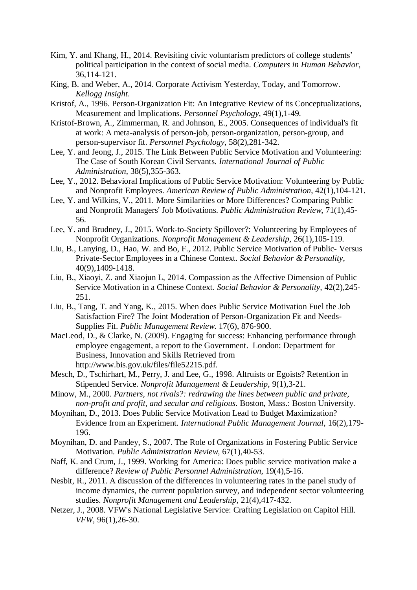- Kim, Y. and Khang, H., 2014. Revisiting civic voluntarism predictors of college students' political participation in the context of social media. *Computers in Human Behavior*, 36,114-121.
- King, B. and Weber, A., 2014. Corporate Activism Yesterday, Today, and Tomorrow. *Kellogg Insight*.
- Kristof, A., 1996. Person-Organization Fit: An Integrative Review of its Conceptualizations, Measurement and Implications. *Personnel Psychology*, 49(1),1-49.
- Kristof-Brown, A., Zimmerman, R. and Johnson, E., 2005. Consequences of individual's fit at work: A meta-analysis of person-job, person-organization, person-group, and person-supervisor fit. *Personnel Psychology*, 58(2),281-342.
- Lee, Y. and Jeong, J., 2015. The Link Between Public Service Motivation and Volunteering: The Case of South Korean Civil Servants. *International Journal of Public Administration*, 38(5),355-363.
- Lee, Y., 2012. Behavioral Implications of Public Service Motivation: Volunteering by Public and Nonprofit Employees. *American Review of Public Administration*, 42(1),104-121.
- Lee, Y. and Wilkins, V., 2011. More Similarities or More Differences? Comparing Public and Nonprofit Managers' Job Motivations. *Public Administration Review*, 71(1),45- 56.
- Lee, Y. and Brudney, J., 2015. Work-to-Society Spillover?: Volunteering by Employees of Nonprofit Organizations. *Nonprofit Management & Leadership*, 26(1),105-119.
- Liu, B., Lanying, D., Hao, W. and Bo, F., 2012. Public Service Motivation of Public- Versus Private-Sector Employees in a Chinese Context. *Social Behavior & Personality*, 40(9),1409-1418.
- Liu, B., Xiaoyi, Z. and Xiaojun L, 2014. Compassion as the Affective Dimension of Public Service Motivation in a Chinese Context. *Social Behavior & Personality,* 42(2),245- 251.
- Liu, B., Tang, T. and Yang, K., 2015. When does Public Service Motivation Fuel the Job Satisfaction Fire? The Joint Moderation of Person-Organization Fit and Needs-Supplies Fit. *Public Management Review*. 17(6), 876-900.
- MacLeod, D., & Clarke, N. (2009). Engaging for success: Enhancing performance through employee engagement, a report to the Government. London: Department for Business, Innovation and Skills Retrieved from http://www.bis.gov.uk/files/file52215.pdf.
- Mesch, D., Tschirhart, M., Perry, J. and Lee, G., 1998. Altruists or Egoists? Retention in Stipended Service. *Nonprofit Management & Leadership*, 9(1),3-21.
- Minow, M., 2000. *Partners, not rivals?: redrawing the lines between public and private, non-profit and profit, and secular and religious*. Boston, Mass.: Boston University.
- Moynihan, D., 2013. Does Public Service Motivation Lead to Budget Maximization? Evidence from an Experiment. *International Public Management Journal*, 16(2),179- 196.
- Moynihan, D. and Pandey, S., 2007. The Role of Organizations in Fostering Public Service Motivation. *Public Administration Review*, 67(1),40-53.
- Naff, K. and Crum, J., 1999. Working for America: Does public service motivation make a difference? *Review of Public Personnel Administration*, 19(4),5-16.
- Nesbit, R., 2011. A discussion of the differences in volunteering rates in the panel study of income dynamics, the current population survey, and independent sector volunteering studies. *Nonprofit Management and Leadership*, 21(4),417-432.
- Netzer, J., 2008. VFW's National Legislative Service: Crafting Legislation on Capitol Hill. *VFW*, 96(1),26-30.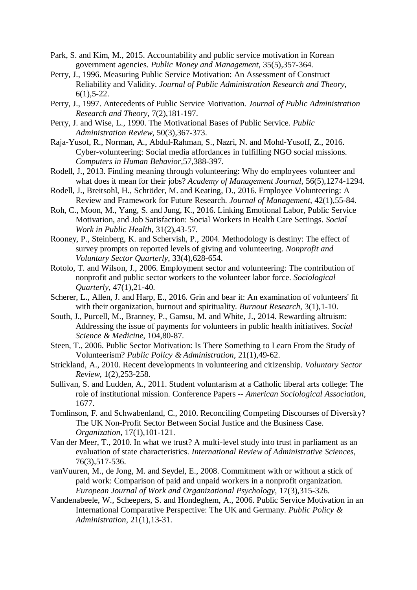- Park, S. and Kim, M., 2015. Accountability and public service motivation in Korean government agencies. *Public Money and Management*, 35(5),357-364.
- Perry, J., 1996. Measuring Public Service Motivation: An Assessment of Construct Reliability and Validity. *Journal of Public Administration Research and Theory*,  $6(1)$ , 5-22.
- Perry, J., 1997. Antecedents of Public Service Motivation. *Journal of Public Administration Research and Theory,* 7(2),181-197.
- Perry, J. and Wise, L., 1990. The Motivational Bases of Public Service. *Public Administration Review*, 50(3),367-373.
- Raja-Yusof, R., Norman, A., Abdul-Rahman, S., Nazri, N. and Mohd-Yusoff, Z., 2016. Cyber-volunteering: Social media affordances in fulfilling NGO social missions. *Computers in Human Behavior,*57,388-397.
- Rodell, J., 2013. Finding meaning through volunteering: Why do employees volunteer and what does it mean for their jobs? *Academy of Management Journal*, 56(5),1274-1294.
- Rodell, J., Breitsohl, H., Schröder, M. and Keating, D., 2016. Employee Volunteering: A Review and Framework for Future Research. *Journal of Management*, 42(1),55-84.
- Roh, C., Moon, M., Yang, S. and Jung, K., 2016. Linking Emotional Labor, Public Service Motivation, and Job Satisfaction: Social Workers in Health Care Settings. *Social Work in Public Health*, 31(2),43-57.
- Rooney, P., Steinberg, K. and Schervish, P., 2004. Methodology is destiny: The effect of survey prompts on reported levels of giving and volunteering. *Nonprofit and Voluntary Sector Quarterly*, 33(4),628-654.
- Rotolo, T. and Wilson, J., 2006. Employment sector and volunteering: The contribution of nonprofit and public sector workers to the volunteer labor force. *Sociological Quarterly*, 47(1),21-40.
- Scherer, L., Allen, J. and Harp, E., 2016. Grin and bear it: An examination of volunteers' fit with their organization, burnout and spirituality. *Burnout Research*, 3(1),1-10.
- South, J., Purcell, M., Branney, P., Gamsu, M. and White, J., 2014. Rewarding altruism: Addressing the issue of payments for volunteers in public health initiatives. *Social Science & Medicine*, 104,80-87.
- Steen, T., 2006. Public Sector Motivation: Is There Something to Learn From the Study of Volunteerism? *Public Policy & Administration*, 21(1),49-62.
- Strickland, A., 2010. Recent developments in volunteering and citizenship. *Voluntary Sector Review*, 1(2),253-258.
- Sullivan, S. and Ludden, A., 2011. Student voluntarism at a Catholic liberal arts college: The role of institutional mission. Conference Papers -- *American Sociological Association*, 1677.
- Tomlinson, F. and Schwabenland, C., 2010. Reconciling Competing Discourses of Diversity? The UK Non-Profit Sector Between Social Justice and the Business Case. *Organization*, 17(1),101-121.
- Van der Meer, T., 2010. In what we trust? A multi-level study into trust in parliament as an evaluation of state characteristics. *International Review of Administrative Sciences*, 76(3),517-536.
- vanVuuren, M., de Jong, M. and Seydel, E., 2008. Commitment with or without a stick of paid work: Comparison of paid and unpaid workers in a nonprofit organization. *European Journal of Work and Organizational Psychology*, 17(3),315-326.
- Vandenabeele, W., Scheepers, S. and Hondeghem, A., 2006. Public Service Motivation in an International Comparative Perspective: The UK and Germany. *Public Policy & Administration*, 21(1),13-31.